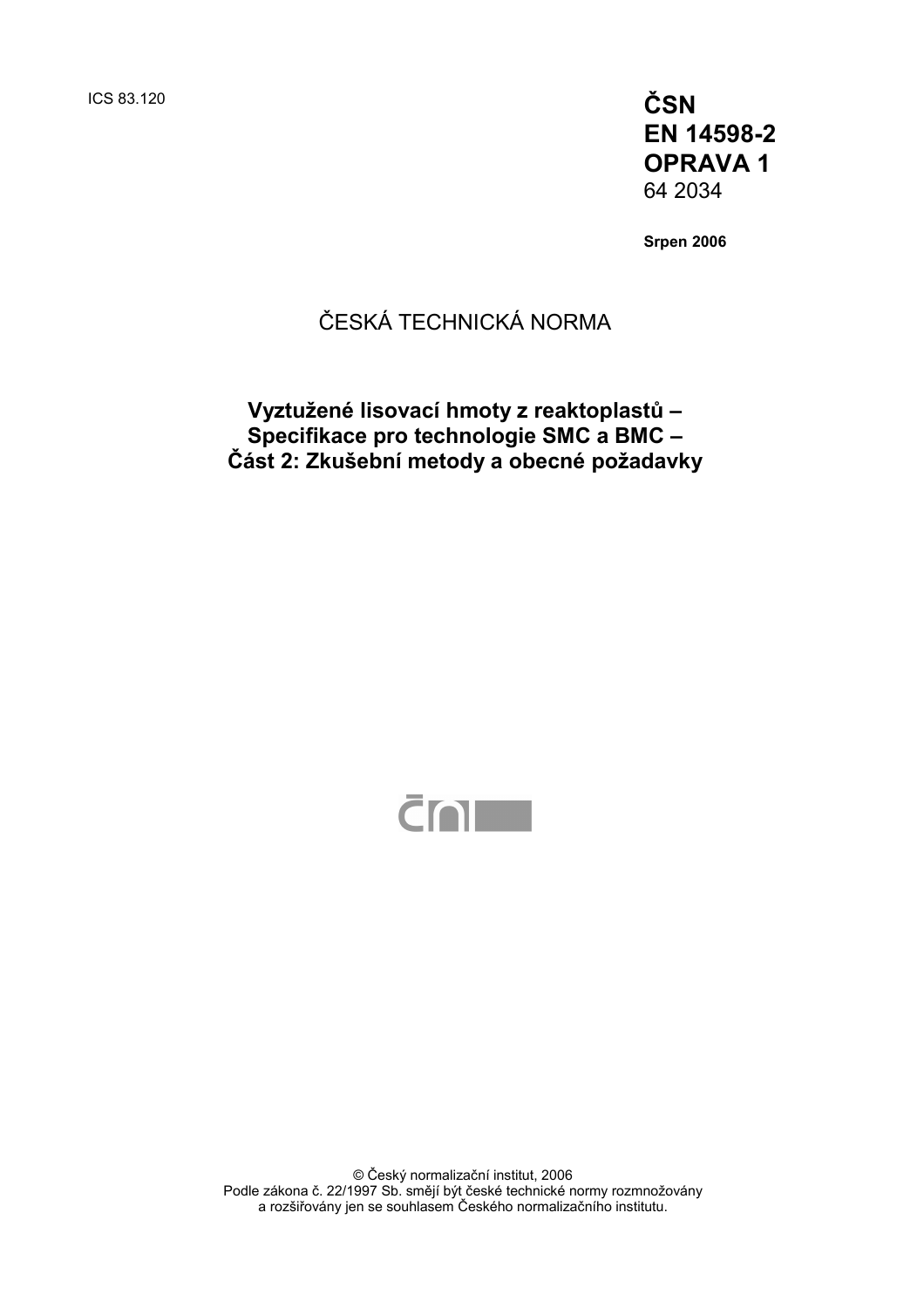ICS 83.120 **ČSN EN 14598-2 OPRAVA 1**  64 2034

**Srpen 2006** 

### ČESKÁ TECHNICKÁ NORMA

### **Vyztužené lisovací hmoty z reaktoplastů – Specifikace pro technologie SMC a BMC – Část 2: Zkušební metody a obecné požadavky**



© Český normalizační institut, 2006 Podle zákona č. 22/1997 Sb. smějí být české technické normy rozmnožovány a rozšiřovány jen se souhlasem Českého normalizačního institutu.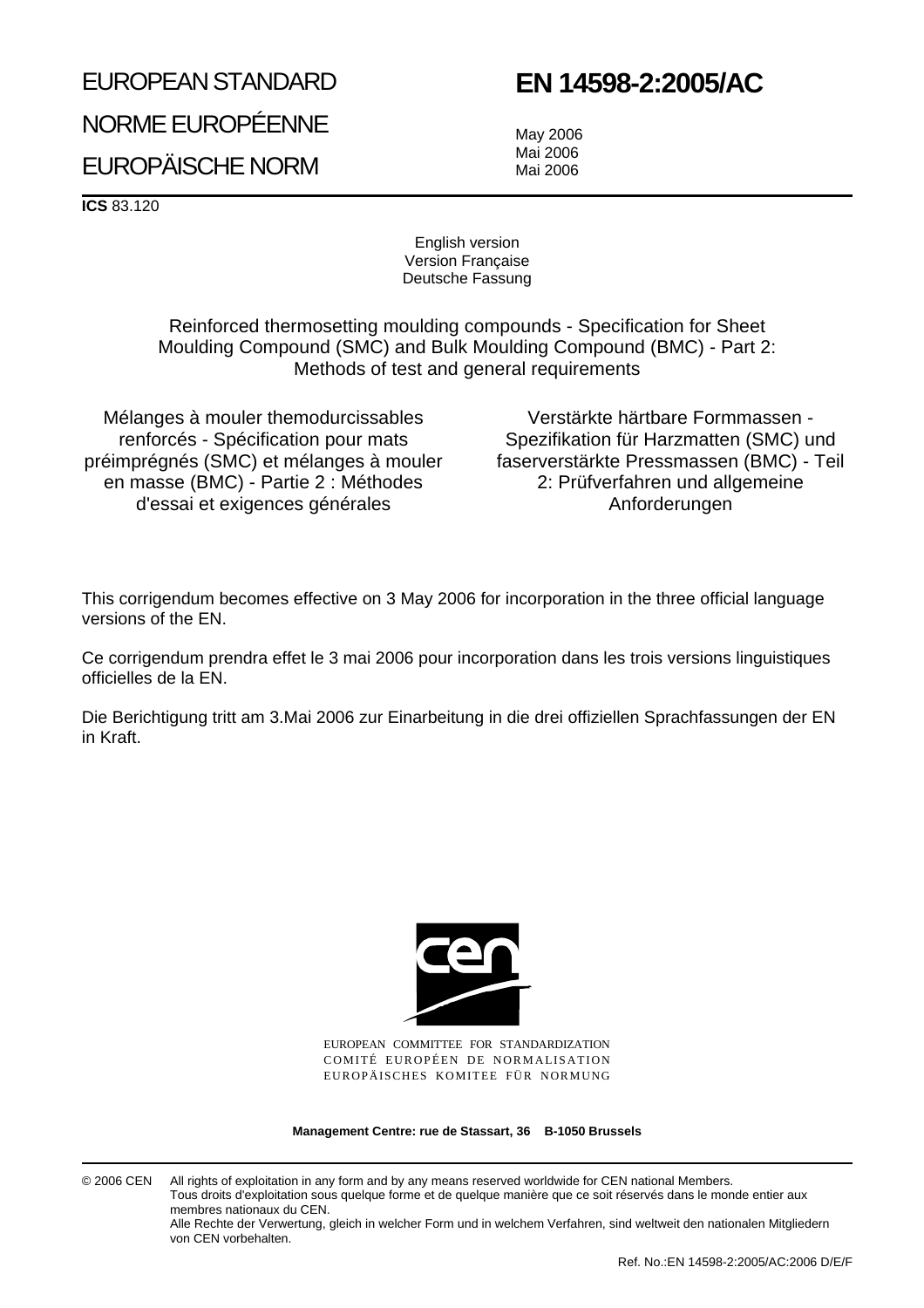# EUROPEAN STANDARD

## **EN 14598-2:2005/AC**

NORME EUROPÉENNE EUROPÄISCHE NORM

May 2006 Mai 2006 Mai 2006

**ICS** 83.120

English version Version Française Deutsche Fassung

Reinforced thermosetting moulding compounds - Specification for Sheet Moulding Compound (SMC) and Bulk Moulding Compound (BMC) - Part 2: Methods of test and general requirements

Mélanges à mouler themodurcissables renforcés - Spécification pour mats préimprégnés (SMC) et mélanges à mouler en masse (BMC) - Partie 2 : Méthodes d'essai et exigences générales

Verstärkte härtbare Formmassen - Spezifikation für Harzmatten (SMC) und faserverstärkte Pressmassen (BMC) - Teil 2: Prüfverfahren und allgemeine Anforderungen

This corrigendum becomes effective on 3 May 2006 for incorporation in the three official language versions of the EN.

Ce corrigendum prendra effet le 3 mai 2006 pour incorporation dans les trois versions linguistiques officielles de la EN.

Die Berichtigung tritt am 3.Mai 2006 zur Einarbeitung in die drei offiziellen Sprachfassungen der EN in Kraft.



EUROPEAN COMMITTEE FOR STANDARDIZATION COMITÉ EUROPÉEN DE NORMALISATION EUROPÄISCHES KOMITEE FÜR NORMUNG

**Management Centre: rue de Stassart, 36 B-1050 Brussels**

© 2006 CEN All rights of exploitation in any form and by any means reserved worldwide for CEN national Members. Tous droits d'exploitation sous quelque forme et de quelque manière que ce soit réservés dans le monde entier aux membres nationaux du CEN. Alle Rechte der Verwertung, gleich in welcher Form und in welchem Verfahren, sind weltweit den nationalen Mitgliedern

von CEN vorbehalten.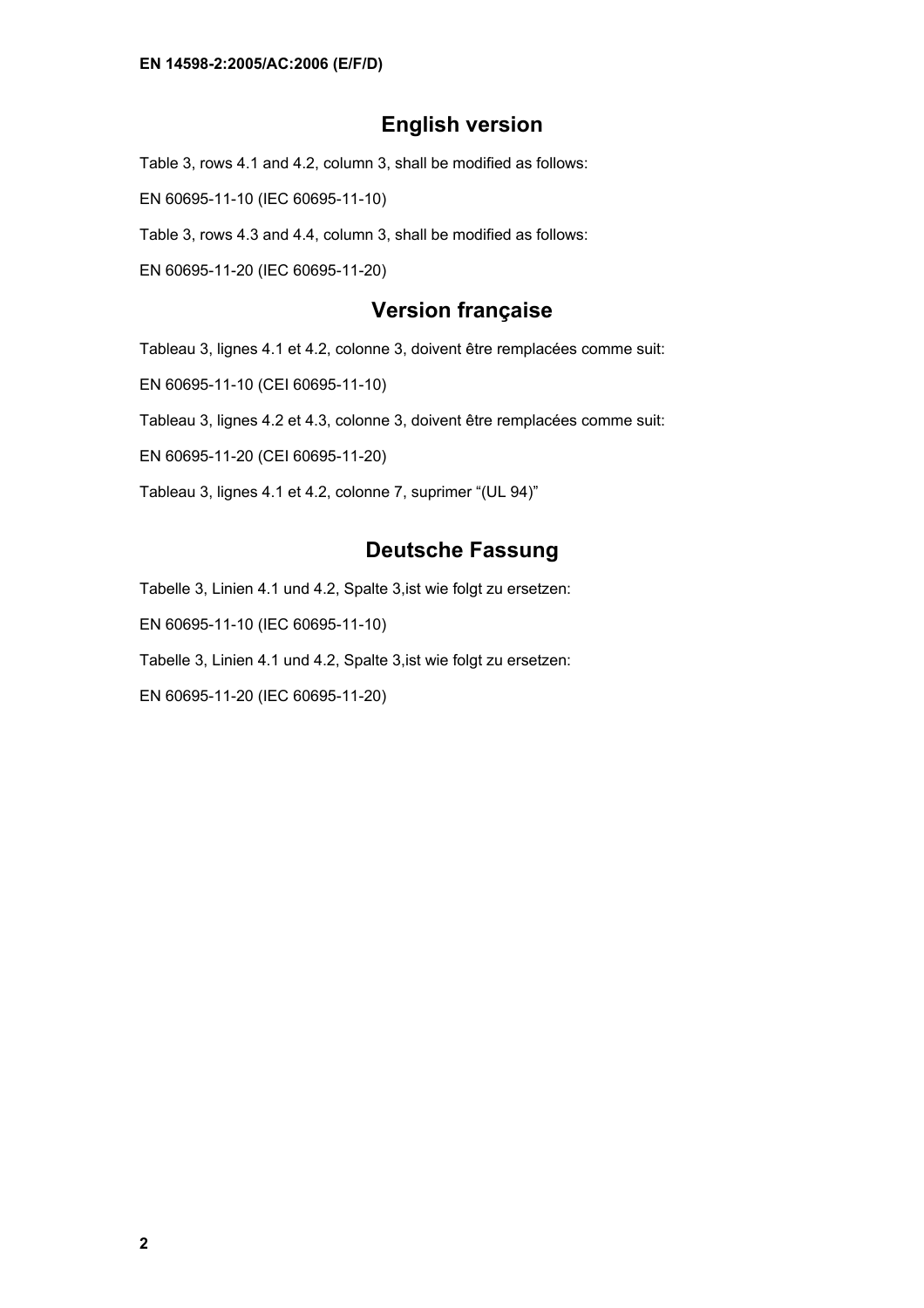#### **English version**

Table 3, rows 4.1 and 4.2, column 3, shall be modified as follows:

EN 60695-11-10 (IEC 60695-11-10)

Table 3, rows 4.3 and 4.4, column 3, shall be modified as follows:

EN 60695-11-20 (IEC 60695-11-20)

#### **Version française**

Tableau 3, lignes 4.1 et 4.2, colonne 3, doivent être remplacées comme suit:

EN 60695-11-10 (CEI 60695-11-10)

Tableau 3, lignes 4.2 et 4.3, colonne 3, doivent être remplacées comme suit:

EN 60695-11-20 (CEI 60695-11-20)

Tableau 3, lignes 4.1 et 4.2, colonne 7, suprimer "(UL 94)"

#### **Deutsche Fassung**

Tabelle 3, Linien 4.1 und 4.2, Spalte 3,ist wie folgt zu ersetzen:

EN 60695-11-10 (IEC 60695-11-10)

Tabelle 3, Linien 4.1 und 4.2, Spalte 3,ist wie folgt zu ersetzen:

EN 60695-11-20 (IEC 60695-11-20)